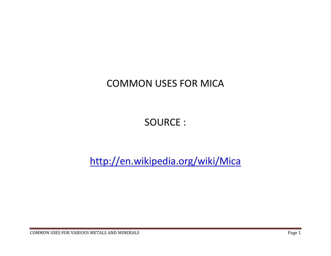## COMMON USES FOR MICA

## SOURCE :

http://en.wikipedia.org/wiki/Mica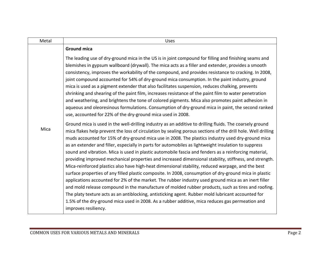| Metal | <b>Uses</b>                                                                                                                                                                                                                                                                                                                                                                                                                                                                                                                                                                                                                                                                                                                                                                                                                                                                                                                                                                                                                                                                                                                                                                                                                                                                                                            |
|-------|------------------------------------------------------------------------------------------------------------------------------------------------------------------------------------------------------------------------------------------------------------------------------------------------------------------------------------------------------------------------------------------------------------------------------------------------------------------------------------------------------------------------------------------------------------------------------------------------------------------------------------------------------------------------------------------------------------------------------------------------------------------------------------------------------------------------------------------------------------------------------------------------------------------------------------------------------------------------------------------------------------------------------------------------------------------------------------------------------------------------------------------------------------------------------------------------------------------------------------------------------------------------------------------------------------------------|
| Mica  | <b>Ground mica</b>                                                                                                                                                                                                                                                                                                                                                                                                                                                                                                                                                                                                                                                                                                                                                                                                                                                                                                                                                                                                                                                                                                                                                                                                                                                                                                     |
|       | The leading use of dry-ground mica in the US is in joint compound for filling and finishing seams and<br>blemishes in gypsum wallboard (drywall). The mica acts as a filler and extender, provides a smooth<br>consistency, improves the workability of the compound, and provides resistance to cracking. In 2008,<br>joint compound accounted for 54% of dry-ground mica consumption. In the paint industry, ground<br>mica is used as a pigment extender that also facilitates suspension, reduces chalking, prevents<br>shrinking and shearing of the paint film, increases resistance of the paint film to water penetration<br>and weathering, and brightens the tone of colored pigments. Mica also promotes paint adhesion in<br>aqueous and oleoresinous formulations. Consumption of dry-ground mica in paint, the second ranked<br>use, accounted for 22% of the dry-ground mica used in 2008.                                                                                                                                                                                                                                                                                                                                                                                                              |
|       | Ground mica is used in the well-drilling industry as an additive to drilling fluids. The coarsely ground<br>mica flakes help prevent the loss of circulation by sealing porous sections of the drill hole. Well drilling<br>muds accounted for 15% of dry-ground mica use in 2008. The plastics industry used dry-ground mica<br>as an extender and filler, especially in parts for automobiles as lightweight insulation to suppress<br>sound and vibration. Mica is used in plastic automobile fascia and fenders as a reinforcing material,<br>providing improved mechanical properties and increased dimensional stability, stiffness, and strength.<br>Mica-reinforced plastics also have high-heat dimensional stability, reduced warpage, and the best<br>surface properties of any filled plastic composite. In 2008, consumption of dry-ground mica in plastic<br>applications accounted for 2% of the market. The rubber industry used ground mica as an inert filler<br>and mold release compound in the manufacture of molded rubber products, such as tires and roofing.<br>The platy texture acts as an antiblocking, antisticking agent. Rubber mold lubricant accounted for<br>1.5% of the dry-ground mica used in 2008. As a rubber additive, mica reduces gas permeation and<br>improves resiliency. |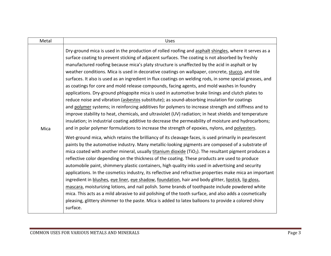| Metal | <b>Uses</b>                                                                                                                                                                                                                                                                                                                                                                                                                                                                                                                                                                                                                                                                                                                                                                                                                                                                                                                                                                                                                                                                                                                                                                                                                                                                                                                                                                                                                                                                                                                                                                                                                                                                                                                                                                                                                                                                                                                                                                                                                                                                                                                                                                                                                                                                                                                                   |
|-------|-----------------------------------------------------------------------------------------------------------------------------------------------------------------------------------------------------------------------------------------------------------------------------------------------------------------------------------------------------------------------------------------------------------------------------------------------------------------------------------------------------------------------------------------------------------------------------------------------------------------------------------------------------------------------------------------------------------------------------------------------------------------------------------------------------------------------------------------------------------------------------------------------------------------------------------------------------------------------------------------------------------------------------------------------------------------------------------------------------------------------------------------------------------------------------------------------------------------------------------------------------------------------------------------------------------------------------------------------------------------------------------------------------------------------------------------------------------------------------------------------------------------------------------------------------------------------------------------------------------------------------------------------------------------------------------------------------------------------------------------------------------------------------------------------------------------------------------------------------------------------------------------------------------------------------------------------------------------------------------------------------------------------------------------------------------------------------------------------------------------------------------------------------------------------------------------------------------------------------------------------------------------------------------------------------------------------------------------------|
| Mica  | Dry-ground mica is used in the production of rolled roofing and asphalt shingles, where it serves as a<br>surface coating to prevent sticking of adjacent surfaces. The coating is not absorbed by freshly<br>manufactured roofing because mica's platy structure is unaffected by the acid in asphalt or by<br>weather conditions. Mica is used in decorative coatings on wallpaper, concrete, stucco, and tile<br>surfaces. It also is used as an ingredient in flux coatings on welding rods, in some special greases, and<br>as coatings for core and mold release compounds, facing agents, and mold washes in foundry<br>applications. Dry-ground phlogopite mica is used in automotive brake linings and clutch plates to<br>reduce noise and vibration (asbestos substitute); as sound-absorbing insulation for coatings<br>and polymer systems; in reinforcing additives for polymers to increase strength and stiffness and to<br>improve stability to heat, chemicals, and ultraviolet (UV) radiation; in heat shields and temperature<br>insulation; in industrial coating additive to decrease the permeability of moisture and hydrocarbons;<br>and in polar polymer formulations to increase the strength of epoxies, nylons, and polyesters.<br>Wet-ground mica, which retains the brilliancy of its cleavage faces, is used primarily in pearlescent<br>paints by the automotive industry. Many metallic-looking pigments are composed of a substrate of<br>mica coated with another mineral, usually titanium dioxide (TiO2). The resultant pigment produces a<br>reflective color depending on the thickness of the coating. These products are used to produce<br>automobile paint, shimmery plastic containers, high quality inks used in advertising and security<br>applications. In the cosmetics industry, its reflective and refractive properties make mica an important<br>ingredient in blushes, eye liner, eye shadow, foundation, hair and body glitter, lipstick, lip gloss,<br>mascara, moisturizing lotions, and nail polish. Some brands of toothpaste include powdered white<br>mica. This acts as a mild abrasive to aid polishing of the tooth surface, and also adds a cosmetically<br>pleasing, glittery shimmer to the paste. Mica is added to latex balloons to provide a colored shiny<br>surface. |
|       |                                                                                                                                                                                                                                                                                                                                                                                                                                                                                                                                                                                                                                                                                                                                                                                                                                                                                                                                                                                                                                                                                                                                                                                                                                                                                                                                                                                                                                                                                                                                                                                                                                                                                                                                                                                                                                                                                                                                                                                                                                                                                                                                                                                                                                                                                                                                               |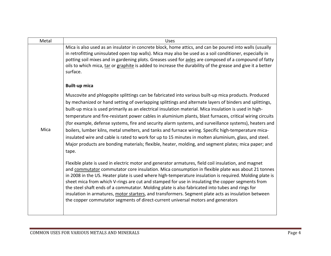| Metal | <b>Uses</b>                                                                                                                                                                                                                                                                                                                                                                                                                                                                                                                                                                                                                                                                                                                                                                                                                                                                       |
|-------|-----------------------------------------------------------------------------------------------------------------------------------------------------------------------------------------------------------------------------------------------------------------------------------------------------------------------------------------------------------------------------------------------------------------------------------------------------------------------------------------------------------------------------------------------------------------------------------------------------------------------------------------------------------------------------------------------------------------------------------------------------------------------------------------------------------------------------------------------------------------------------------|
| Mica  | Mica is also used as an insulator in concrete block, home attics, and can be poured into walls (usually<br>in retrofitting uninsulated open top walls). Mica may also be used as a soil conditioner, especially in<br>potting soil mixes and in gardening plots. Greases used for axles are composed of a compound of fatty<br>oils to which mica, tar or graphite is added to increase the durability of the grease and give it a better<br>surface.                                                                                                                                                                                                                                                                                                                                                                                                                             |
|       | <b>Built-up mica</b>                                                                                                                                                                                                                                                                                                                                                                                                                                                                                                                                                                                                                                                                                                                                                                                                                                                              |
|       | Muscovite and phlogopite splittings can be fabricated into various built-up mica products. Produced<br>by mechanized or hand setting of overlapping splittings and alternate layers of binders and splittings,<br>built-up mica is used primarily as an electrical insulation material. Mica insulation is used in high-<br>temperature and fire-resistant power cables in aluminium plants, blast furnaces, critical wiring circuits<br>(for example, defense systems, fire and security alarm systems, and surveillance systems), heaters and<br>boilers, lumber kilns, metal smelters, and tanks and furnace wiring. Specific high-temperature mica-<br>insulated wire and cable is rated to work for up to 15 minutes in molten aluminium, glass, and steel.<br>Major products are bonding materials; flexible, heater, molding, and segment plates; mica paper; and<br>tape. |
|       | Flexible plate is used in electric motor and generator armatures, field coil insulation, and magnet<br>and commutator commutator core insulation. Mica consumption in flexible plate was about 21 tonnes<br>in 2008 in the US. Heater plate is used where high-temperature insulation is required. Molding plate is<br>sheet mica from which V-rings are cut and stamped for use in insulating the copper segments from<br>the steel shaft ends of a commutator. Molding plate is also fabricated into tubes and rings for<br>insulation in armatures, motor starters, and transformers. Segment plate acts as insulation between<br>the copper commutator segments of direct-current universal motors and generators                                                                                                                                                             |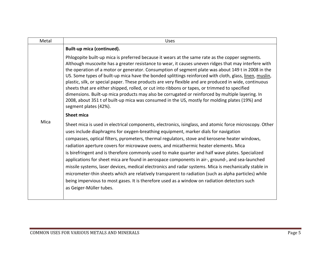| Metal | <b>Uses</b>                                                                                                                                                                                                                                                                                                                                                                                                                                                                                                                                                                                                                                                                                                                                                                                                                                                                                                                                  |
|-------|----------------------------------------------------------------------------------------------------------------------------------------------------------------------------------------------------------------------------------------------------------------------------------------------------------------------------------------------------------------------------------------------------------------------------------------------------------------------------------------------------------------------------------------------------------------------------------------------------------------------------------------------------------------------------------------------------------------------------------------------------------------------------------------------------------------------------------------------------------------------------------------------------------------------------------------------|
| Mica  | Built-up mica (continued).                                                                                                                                                                                                                                                                                                                                                                                                                                                                                                                                                                                                                                                                                                                                                                                                                                                                                                                   |
|       | Phlogopite built-up mica is preferred because it wears at the same rate as the copper segments.<br>Although muscovite has a greater resistance to wear, it causes uneven ridges that may interfere with<br>the operation of a motor or generator. Consumption of segment plate was about 149 t in 2008 in the<br>US. Some types of built-up mica have the bonded splittings reinforced with cloth, glass, linen, muslin,<br>plastic, silk, or special paper. These products are very flexible and are produced in wide, continuous<br>sheets that are either shipped, rolled, or cut into ribbons or tapes, or trimmed to specified<br>dimensions. Built-up mica products may also be corrugated or reinforced by multiple layering. In<br>2008, about 351 t of built-up mica was consumed in the US, mostly for molding plates (19%) and<br>segment plates (42%).                                                                           |
|       | <b>Sheet mica</b>                                                                                                                                                                                                                                                                                                                                                                                                                                                                                                                                                                                                                                                                                                                                                                                                                                                                                                                            |
|       | Sheet mica is used in electrical components, electronics, isinglass, and atomic force microscopy. Other<br>uses include diaphragms for oxygen-breathing equipment, marker dials for navigation<br>compasses, optical filters, pyrometers, thermal regulators, stove and kerosene heater windows,<br>radiation aperture covers for microwave ovens, and micathermic heater elements. Mica<br>is birefringent and is therefore commonly used to make quarter and half wave plates. Specialized<br>applications for sheet mica are found in aerospace components in air-, ground-, and sea-launched<br>missile systems, laser devices, medical electronics and radar systems. Mica is mechanically stable in<br>micrometer-thin sheets which are relatively transparent to radiation (such as alpha particles) while<br>being impervious to most gases. It is therefore used as a window on radiation detectors such<br>as Geiger-Müller tubes. |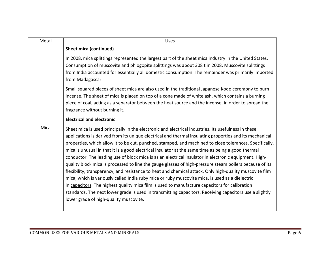| Metal | <b>Uses</b>                                                                                                                                                                                                                                                                                                                                                                                                                                                                                                                                                                                                                                                                                                                                                                                                                                                                                                                                                                                                                                                                                                              |
|-------|--------------------------------------------------------------------------------------------------------------------------------------------------------------------------------------------------------------------------------------------------------------------------------------------------------------------------------------------------------------------------------------------------------------------------------------------------------------------------------------------------------------------------------------------------------------------------------------------------------------------------------------------------------------------------------------------------------------------------------------------------------------------------------------------------------------------------------------------------------------------------------------------------------------------------------------------------------------------------------------------------------------------------------------------------------------------------------------------------------------------------|
|       | <b>Sheet mica (continued)</b>                                                                                                                                                                                                                                                                                                                                                                                                                                                                                                                                                                                                                                                                                                                                                                                                                                                                                                                                                                                                                                                                                            |
|       | In 2008, mica splittings represented the largest part of the sheet mica industry in the United States.<br>Consumption of muscovite and phlogopite splittings was about 308 t in 2008. Muscovite splittings<br>from India accounted for essentially all domestic consumption. The remainder was primarily imported<br>from Madagascar.                                                                                                                                                                                                                                                                                                                                                                                                                                                                                                                                                                                                                                                                                                                                                                                    |
|       | Small squared pieces of sheet mica are also used in the traditional Japanese Kodo ceremony to burn<br>incense. The sheet of mica is placed on top of a cone made of white ash, which contains a burning<br>piece of coal, acting as a separator between the heat source and the incense, in order to spread the<br>fragrance without burning it.                                                                                                                                                                                                                                                                                                                                                                                                                                                                                                                                                                                                                                                                                                                                                                         |
|       | <b>Electrical and electronic</b>                                                                                                                                                                                                                                                                                                                                                                                                                                                                                                                                                                                                                                                                                                                                                                                                                                                                                                                                                                                                                                                                                         |
| Mica  | Sheet mica is used principally in the electronic and electrical industries. Its usefulness in these<br>applications is derived from its unique electrical and thermal insulating properties and its mechanical<br>properties, which allow it to be cut, punched, stamped, and machined to close tolerances. Specifically,<br>mica is unusual in that it is a good electrical insulator at the same time as being a good thermal<br>conductor. The leading use of block mica is as an electrical insulator in electronic equipment. High-<br>quality block mica is processed to line the gauge glasses of high-pressure steam boilers because of its<br>flexibility, transparency, and resistance to heat and chemical attack. Only high-quality muscovite film<br>mica, which is variously called India ruby mica or ruby muscovite mica, is used as a dielectric<br>in capacitors. The highest quality mica film is used to manufacture capacitors for calibration<br>standards. The next lower grade is used in transmitting capacitors. Receiving capacitors use a slightly<br>lower grade of high-quality muscovite. |